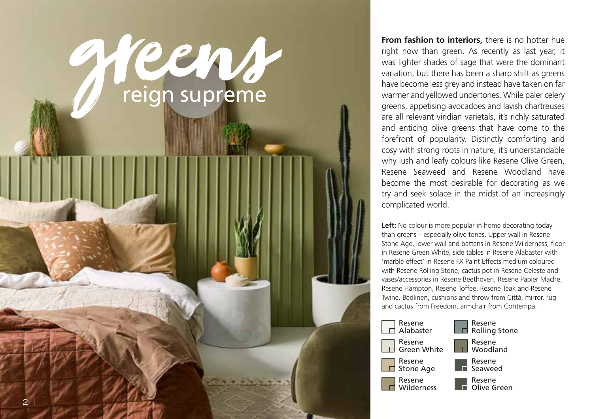

**From fashion to interiors,** there is no hotter hue right now than green. As recently as last year, it was lighter shades of sage that were the dominant variation, but there has been a sharp shift as greens have become less grey and instead have taken on far warmer and yellowed undertones. While paler celery greens, appetising avocadoes and lavish chartreuses are all relevant viridian varietals, it's richly saturated and enticing olive greens that have come to the forefront of popularity. Distinctly comforting and cosy with strong roots in nature, it's understandable why lush and leafy colours like Resene Olive Green, Resene Seaweed and Resene Woodland have become the most desirable for decorating as we try and seek solace in the midst of an increasingly complicated world.

Left: No colour is more popular in home decorating today than greens – especially olive tones. Upper wall in Resene Stone Age, lower wall and battens in Resene Wilderness, floor in Resene Green White, side tables in Resene Alabaster with 'marble effect' in Resene FX Paint Effects medium coloured with Resene Rolling Stone, cactus pot in Resene Celeste and vases/accessories in Resene Beethoven, Resene Papier Mache, Resene Hampton, Resene Toffee, Resene Teak and Resene Twine. Bedlinen, cushions and throw from Città, mirror, rug and cactus from Freedom, armchair from Contempa.

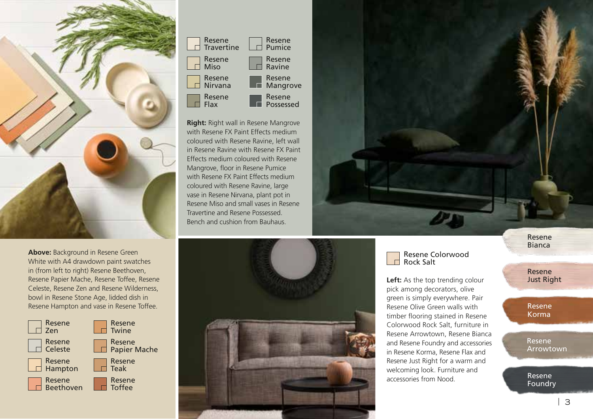

**Above:** Background in Resene Green White with A4 drawdown paint swatches in (from left to right) Resene Beethoven, Resene Papier Mache, Resene Toffee, Resene Celeste, Resene Zen and Resene Wilderness, bowl in Resene Stone Age, lidded dish in Resene Hampton and vase in Resene Toffee.





**Right:** Right wall in Resene Mangrove with Resene FX Paint Effects medium coloured with Resene Ravine, left wall in Resene Ravine with Resene FX Paint Effects medium coloured with Resene Mangrove, floor in Resene Pumice with Resene FX Paint Effects medium coloured with Resene Ravine, large vase in Resene Nirvana, plant pot in Resene Miso and small vases in Resene Travertine and Resene Possessed. Bench and cushion from Bauhaus.



## Resene Colorwood Rock Salt

**Left:** As the top trending colour pick among decorators, olive green is simply everywhere. Pair Resene Olive Green walls with timber flooring stained in Resene Colorwood Rock Salt, furniture in Resene Arrowtown, Resene Bianca and Resene Foundry and accessories in Resene Korma, Resene Flax and Resene Just Right for a warm and welcoming look. Furniture and accessories from Nood.

Resene Bianca

Resene Just Right

Resene Korma

Resene Arrowtown

Resene Foundry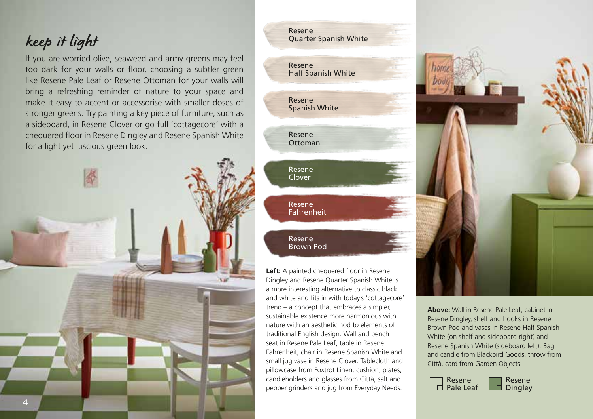## keep it light

If you are worried olive, seaweed and army greens may feel too dark for your walls or floor, choosing a subtler green like Resene Pale Leaf or Resene Ottoman for your walls will bring a refreshing reminder of nature to your space and make it easy to accent or accessorise with smaller doses of stronger greens. Try painting a key piece of furniture, such as a sideboard, in Resene Clover or go full 'cottagecore' with a chequered floor in Resene Dingley and Resene Spanish White for a light yet luscious green look.



Resene Half Spanish White Resene Quarter Spanish White Resene Spanish White Resene Ottoman Resene Clover Resene Fahrenheit Resene Brown Pod

Left: A painted chequered floor in Resene Dingley and Resene Quarter Spanish White is a more interesting alternative to classic black and white and fits in with today's 'cottagecore' trend – a concept that embraces a simpler, sustainable existence more harmonious with nature with an aesthetic nod to elements of traditional English design. Wall and bench seat in Resene Pale Leaf, table in Resene Fahrenheit, chair in Resene Spanish White and small jug vase in Resene Clover. Tablecloth and pillowcase from Foxtrot Linen, cushion, plates, candleholders and glasses from Città, salt and pepper grinders and jug from Everyday Needs.



**Above:** Wall in Resene Pale Leaf, cabinet in Resene Dingley, shelf and hooks in Resene Brown Pod and vases in Resene Half Spanish White (on shelf and sideboard right) and Resene Spanish White (sideboard left). Bag and candle from Blackbird Goods, throw from Città, card from Garden Objects.